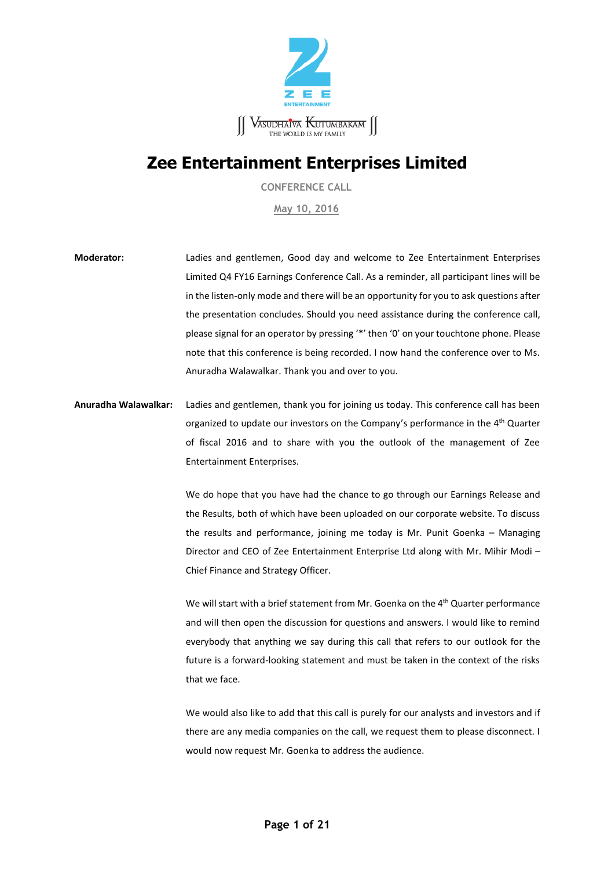

# **Zee Entertainment Enterprises Limited**

**CONFERENCE CALL**

**May 10, 2016**

**Moderator:** Ladies and gentlemen, Good day and welcome to Zee Entertainment Enterprises Limited Q4 FY16 Earnings Conference Call. As a reminder, all participant lines will be in the listen-only mode and there will be an opportunity for you to ask questions after the presentation concludes. Should you need assistance during the conference call, please signal for an operator by pressing '\*' then '0' on your touchtone phone. Please note that this conference is being recorded. I now hand the conference over to Ms. Anuradha Walawalkar. Thank you and over to you.

**Anuradha Walawalkar:** Ladies and gentlemen, thank you for joining us today. This conference call has been organized to update our investors on the Company's performance in the 4<sup>th</sup> Quarter of fiscal 2016 and to share with you the outlook of the management of Zee Entertainment Enterprises.

> We do hope that you have had the chance to go through our Earnings Release and the Results, both of which have been uploaded on our corporate website. To discuss the results and performance, joining me today is Mr. Punit Goenka – Managing Director and CEO of Zee Entertainment Enterprise Ltd along with Mr. Mihir Modi – Chief Finance and Strategy Officer.

> We will start with a brief statement from Mr. Goenka on the 4<sup>th</sup> Quarter performance and will then open the discussion for questions and answers. I would like to remind everybody that anything we say during this call that refers to our outlook for the future is a forward-looking statement and must be taken in the context of the risks that we face.

> We would also like to add that this call is purely for our analysts and investors and if there are any media companies on the call, we request them to please disconnect. I would now request Mr. Goenka to address the audience.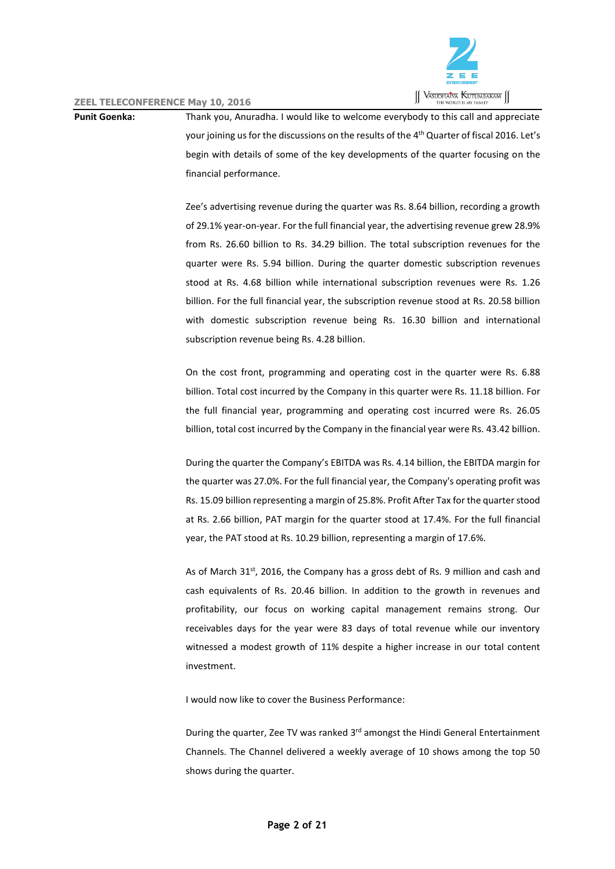

**Punit Goenka:** Thank you, Anuradha. I would like to welcome everybody to this call and appreciate your joining us for the discussions on the results of the 4<sup>th</sup> Quarter of fiscal 2016. Let's begin with details of some of the key developments of the quarter focusing on the financial performance.

> Zee's advertising revenue during the quarter was Rs. 8.64 billion, recording a growth of 29.1% year-on-year. For the full financial year, the advertising revenue grew 28.9% from Rs. 26.60 billion to Rs. 34.29 billion. The total subscription revenues for the quarter were Rs. 5.94 billion. During the quarter domestic subscription revenues stood at Rs. 4.68 billion while international subscription revenues were Rs. 1.26 billion. For the full financial year, the subscription revenue stood at Rs. 20.58 billion with domestic subscription revenue being Rs. 16.30 billion and international subscription revenue being Rs. 4.28 billion.

> On the cost front, programming and operating cost in the quarter were Rs. 6.88 billion. Total cost incurred by the Company in this quarter were Rs. 11.18 billion. For the full financial year, programming and operating cost incurred were Rs. 26.05 billion, total cost incurred by the Company in the financial year were Rs. 43.42 billion.

> During the quarter the Company's EBITDA was Rs. 4.14 billion, the EBITDA margin for the quarter was 27.0%. For the full financial year, the Company's operating profit was Rs. 15.09 billion representing a margin of 25.8%. Profit After Tax for the quarter stood at Rs. 2.66 billion, PAT margin for the quarter stood at 17.4%. For the full financial year, the PAT stood at Rs. 10.29 billion, representing a margin of 17.6%.

> As of March 31<sup>st</sup>, 2016, the Company has a gross debt of Rs. 9 million and cash and cash equivalents of Rs. 20.46 billion. In addition to the growth in revenues and profitability, our focus on working capital management remains strong. Our receivables days for the year were 83 days of total revenue while our inventory witnessed a modest growth of 11% despite a higher increase in our total content investment.

I would now like to cover the Business Performance:

During the quarter, Zee TV was ranked 3<sup>rd</sup> amongst the Hindi General Entertainment Channels. The Channel delivered a weekly average of 10 shows among the top 50 shows during the quarter.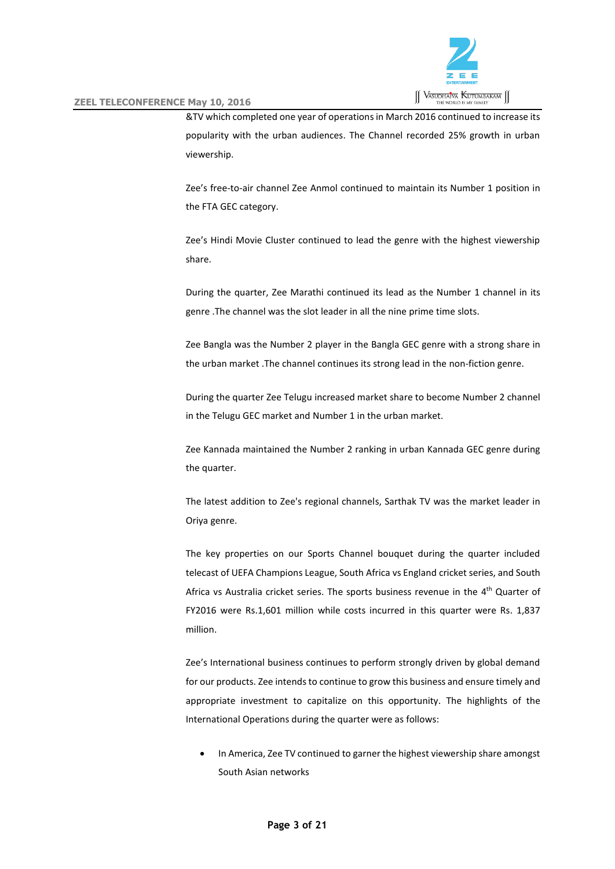

&TV which completed one year of operations in March 2016 continued to increase its popularity with the urban audiences. The Channel recorded 25% growth in urban viewership.

Zee's free-to-air channel Zee Anmol continued to maintain its Number 1 position in the FTA GEC category.

Zee's Hindi Movie Cluster continued to lead the genre with the highest viewership share.

During the quarter, Zee Marathi continued its lead as the Number 1 channel in its genre .The channel was the slot leader in all the nine prime time slots.

Zee Bangla was the Number 2 player in the Bangla GEC genre with a strong share in the urban market .The channel continues its strong lead in the non-fiction genre.

During the quarter Zee Telugu increased market share to become Number 2 channel in the Telugu GEC market and Number 1 in the urban market.

Zee Kannada maintained the Number 2 ranking in urban Kannada GEC genre during the quarter.

The latest addition to Zee's regional channels, Sarthak TV was the market leader in Oriya genre.

The key properties on our Sports Channel bouquet during the quarter included telecast of UEFA Champions League, South Africa vs England cricket series, and South Africa vs Australia cricket series. The sports business revenue in the 4<sup>th</sup> Quarter of FY2016 were Rs.1,601 million while costs incurred in this quarter were Rs. 1,837 million.

Zee's International business continues to perform strongly driven by global demand for our products. Zee intends to continue to grow this business and ensure timely and appropriate investment to capitalize on this opportunity. The highlights of the International Operations during the quarter were as follows:

 In America, Zee TV continued to garner the highest viewership share amongst South Asian networks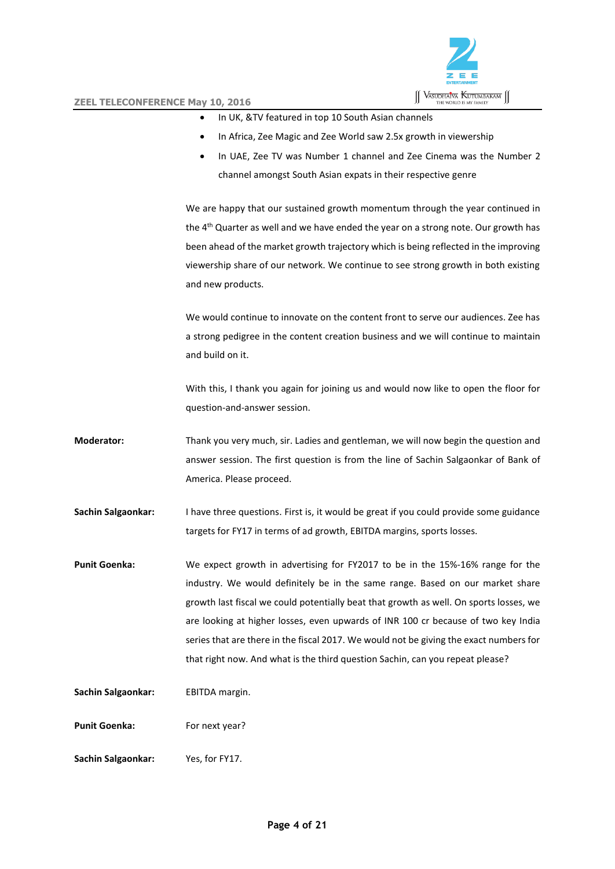

- In UK, &TV featured in top 10 South Asian channels
- In Africa, Zee Magic and Zee World saw 2.5x growth in viewership
- In UAE, Zee TV was Number 1 channel and Zee Cinema was the Number 2 channel amongst South Asian expats in their respective genre

We are happy that our sustained growth momentum through the year continued in the 4<sup>th</sup> Quarter as well and we have ended the year on a strong note. Our growth has been ahead of the market growth trajectory which is being reflected in the improving viewership share of our network. We continue to see strong growth in both existing and new products.

We would continue to innovate on the content front to serve our audiences. Zee has a strong pedigree in the content creation business and we will continue to maintain and build on it.

With this, I thank you again for joining us and would now like to open the floor for question-and-answer session.

**Moderator:** Thank you very much, sir. Ladies and gentleman, we will now begin the question and answer session. The first question is from the line of Sachin Salgaonkar of Bank of America. Please proceed.

**Sachin Salgaonkar:** I have three questions. First is, it would be great if you could provide some guidance targets for FY17 in terms of ad growth, EBITDA margins, sports losses.

**Punit Goenka:** We expect growth in advertising for FY2017 to be in the 15%-16% range for the industry. We would definitely be in the same range. Based on our market share growth last fiscal we could potentially beat that growth as well. On sports losses, we are looking at higher losses, even upwards of INR 100 cr because of two key India series that are there in the fiscal 2017. We would not be giving the exact numbers for that right now. And what is the third question Sachin, can you repeat please?

Sachin Salgaonkar: EBITDA margin.

**Punit Goenka:** For next year?

**Sachin Salgaonkar:** Yes, for FY17.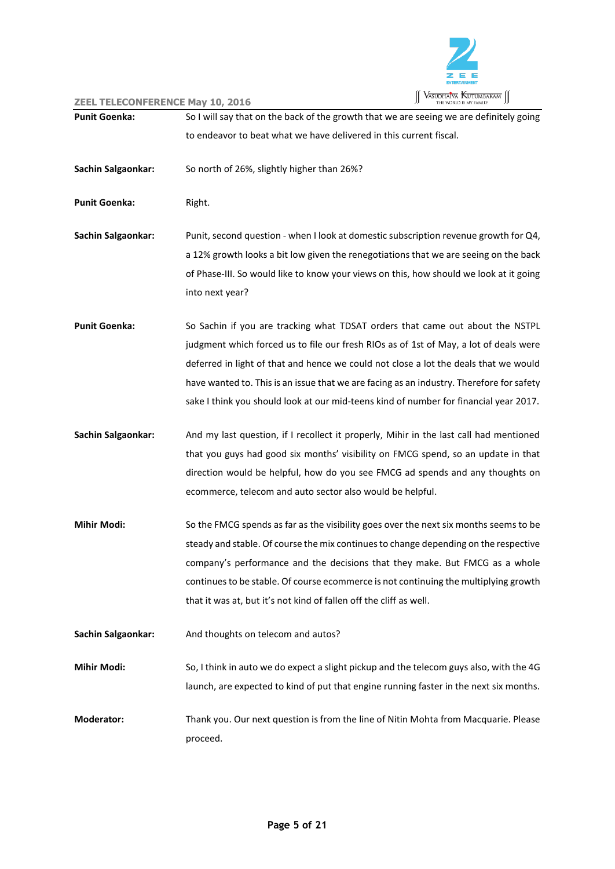

| <b>Punit Goenka:</b> | So I will say that on the back of the growth that we are seeing we are definitely going  |
|----------------------|------------------------------------------------------------------------------------------|
|                      | to endeavor to beat what we have delivered in this current fiscal.                       |
|                      |                                                                                          |
| Sachin Salgaonkar:   | So north of 26%, slightly higher than 26%?                                               |
|                      |                                                                                          |
| <b>Punit Goenka:</b> | Right.                                                                                   |
|                      |                                                                                          |
| Sachin Salgaonkar:   | Punit, second question - when I look at domestic subscription revenue growth for Q4,     |
|                      | a 12% growth looks a bit low given the renegotiations that we are seeing on the back     |
|                      | of Phase-III. So would like to know your views on this, how should we look at it going   |
|                      | into next year?                                                                          |
| <b>Punit Goenka:</b> | So Sachin if you are tracking what TDSAT orders that came out about the NSTPL            |
|                      |                                                                                          |
|                      | judgment which forced us to file our fresh RIOs as of 1st of May, a lot of deals were    |
|                      | deferred in light of that and hence we could not close a lot the deals that we would     |
|                      | have wanted to. This is an issue that we are facing as an industry. Therefore for safety |
|                      | sake I think you should look at our mid-teens kind of number for financial year 2017.    |
| Sachin Salgaonkar:   | And my last question, if I recollect it properly, Mihir in the last call had mentioned   |
|                      | that you guys had good six months' visibility on FMCG spend, so an update in that        |
|                      | direction would be helpful, how do you see FMCG ad spends and any thoughts on            |
|                      | ecommerce, telecom and auto sector also would be helpful.                                |
|                      |                                                                                          |
| <b>Mihir Modi:</b>   | So the FMCG spends as far as the visibility goes over the next six months seems to be    |
|                      | steady and stable. Of course the mix continues to change depending on the respective     |
|                      | company's performance and the decisions that they make. But FMCG as a whole              |
|                      | continues to be stable. Of course ecommerce is not continuing the multiplying growth     |
|                      | that it was at, but it's not kind of fallen off the cliff as well.                       |
|                      |                                                                                          |
| Sachin Salgaonkar:   | And thoughts on telecom and autos?                                                       |
| <b>Mihir Modi:</b>   | So, I think in auto we do expect a slight pickup and the telecom guys also, with the 4G  |
|                      | launch, are expected to kind of put that engine running faster in the next six months.   |
|                      |                                                                                          |
| <b>Moderator:</b>    | Thank you. Our next question is from the line of Nitin Mohta from Macquarie. Please      |
|                      | proceed.                                                                                 |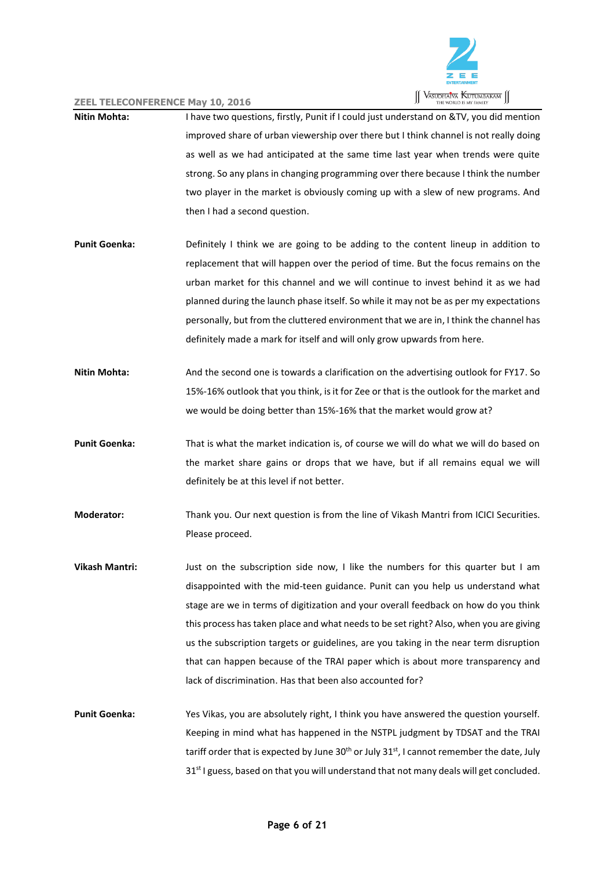

- **Nitin Mohta:** I have two questions, firstly, Punit if I could just understand on &TV, you did mention improved share of urban viewership over there but I think channel is not really doing as well as we had anticipated at the same time last year when trends were quite strong. So any plans in changing programming over there because I think the number two player in the market is obviously coming up with a slew of new programs. And then I had a second question.
- **Punit Goenka:** Definitely I think we are going to be adding to the content lineup in addition to replacement that will happen over the period of time. But the focus remains on the urban market for this channel and we will continue to invest behind it as we had planned during the launch phase itself. So while it may not be as per my expectations personally, but from the cluttered environment that we are in, I think the channel has definitely made a mark for itself and will only grow upwards from here.
- **Nitin Mohta:** And the second one is towards a clarification on the advertising outlook for FY17. So 15%-16% outlook that you think, is it for Zee or that is the outlook for the market and we would be doing better than 15%-16% that the market would grow at?
- **Punit Goenka:** That is what the market indication is, of course we will do what we will do based on the market share gains or drops that we have, but if all remains equal we will definitely be at this level if not better.
- **Moderator:** Thank you. Our next question is from the line of Vikash Mantri from ICICI Securities. Please proceed.
- **Vikash Mantri:** Just on the subscription side now, I like the numbers for this quarter but I am disappointed with the mid-teen guidance. Punit can you help us understand what stage are we in terms of digitization and your overall feedback on how do you think this process has taken place and what needs to be set right? Also, when you are giving us the subscription targets or guidelines, are you taking in the near term disruption that can happen because of the TRAI paper which is about more transparency and lack of discrimination. Has that been also accounted for?

**Punit Goenka:** Yes Vikas, you are absolutely right, I think you have answered the question yourself. Keeping in mind what has happened in the NSTPL judgment by TDSAT and the TRAI tariff order that is expected by June 30<sup>th</sup> or July 31<sup>st</sup>, I cannot remember the date, July 31<sup>st</sup> I guess, based on that you will understand that not many deals will get concluded.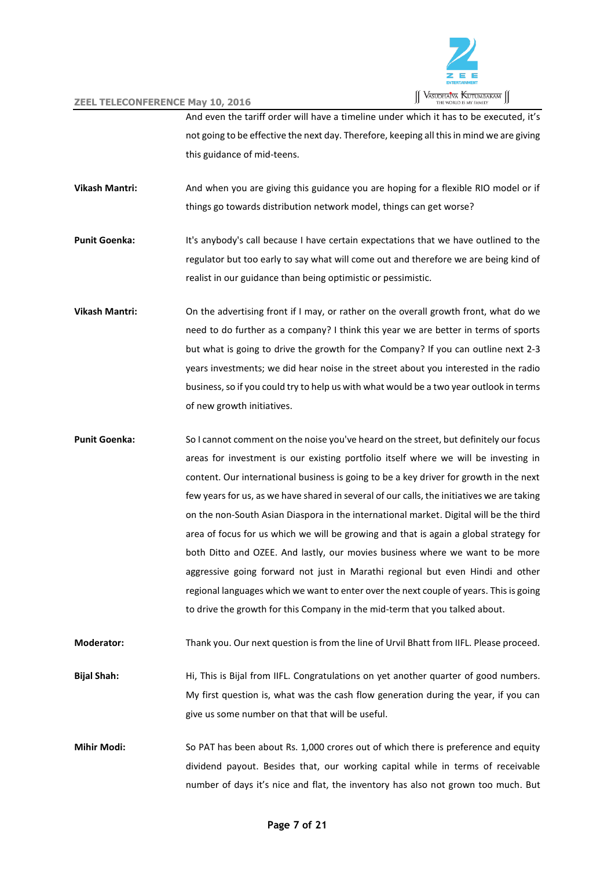

And even the tariff order will have a timeline under which it has to be executed, it's not going to be effective the next day. Therefore, keeping all this in mind we are giving this guidance of mid-teens.

**Vikash Mantri:** And when you are giving this guidance you are hoping for a flexible RIO model or if things go towards distribution network model, things can get worse?

**Punit Goenka:** It's anybody's call because I have certain expectations that we have outlined to the regulator but too early to say what will come out and therefore we are being kind of realist in our guidance than being optimistic or pessimistic.

**Vikash Mantri:** On the advertising front if I may, or rather on the overall growth front, what do we need to do further as a company? I think this year we are better in terms of sports but what is going to drive the growth for the Company? If you can outline next 2-3 years investments; we did hear noise in the street about you interested in the radio business, so if you could try to help us with what would be a two year outlook in terms of new growth initiatives.

**Punit Goenka:** So I cannot comment on the noise you've heard on the street, but definitely our focus areas for investment is our existing portfolio itself where we will be investing in content. Our international business is going to be a key driver for growth in the next few years for us, as we have shared in several of our calls, the initiatives we are taking on the non-South Asian Diaspora in the international market. Digital will be the third area of focus for us which we will be growing and that is again a global strategy for both Ditto and OZEE. And lastly, our movies business where we want to be more aggressive going forward not just in Marathi regional but even Hindi and other regional languages which we want to enter over the next couple of years. This is going to drive the growth for this Company in the mid-term that you talked about.

**Moderator:** Thank you. Our next question is from the line of Urvil Bhatt from IIFL. Please proceed.

**Bijal Shah:** Hi, This is Bijal from IIFL. Congratulations on yet another quarter of good numbers. My first question is, what was the cash flow generation during the year, if you can give us some number on that that will be useful.

**Mihir Modi:** So PAT has been about Rs. 1,000 crores out of which there is preference and equity dividend payout. Besides that, our working capital while in terms of receivable number of days it's nice and flat, the inventory has also not grown too much. But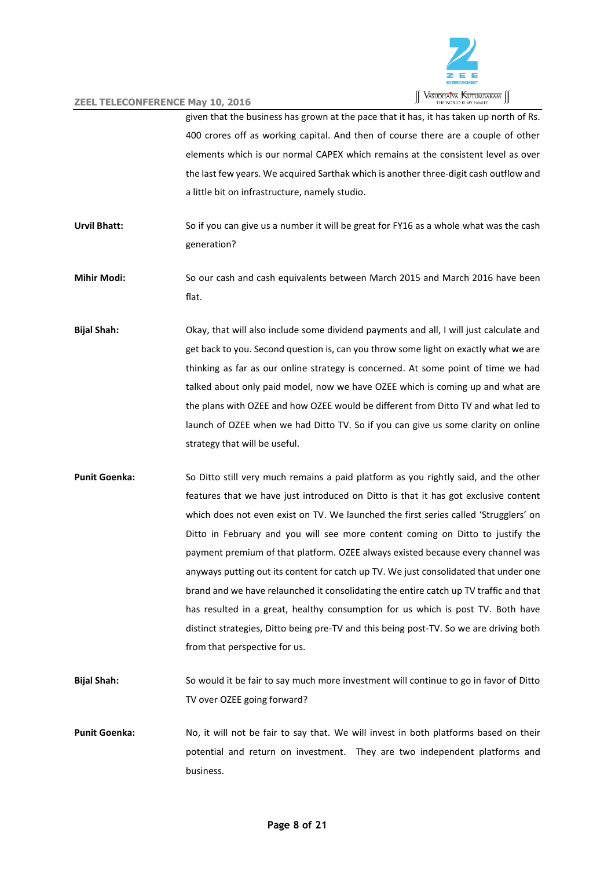

given that the business has grown at the pace that it has, it has taken up north of Rs. 400 crores off as working capital. And then of course there are a couple of other elements which is our normal CAPEX which remains at the consistent level as over the last few years. We acquired Sarthak which is another three-digit cash outflow and a little bit on infrastructure, namely studio.

- **Urvil Bhatt:** So if you can give us a number it will be great for FY16 as a whole what was the cash generation?
- **Mihir Modi:** So our cash and cash equivalents between March 2015 and March 2016 have been flat.
- **Bijal Shah:** Okay, that will also include some dividend payments and all, I will just calculate and get back to you. Second question is, can you throw some light on exactly what we are thinking as far as our online strategy is concerned. At some point of time we had talked about only paid model, now we have OZEE which is coming up and what are the plans with OZEE and how OZEE would be different from Ditto TV and what led to launch of OZEE when we had Ditto TV. So if you can give us some clarity on online strategy that will be useful.
- **Punit Goenka:** So Ditto still very much remains a paid platform as you rightly said, and the other features that we have just introduced on Ditto is that it has got exclusive content which does not even exist on TV. We launched the first series called 'Strugglers' on Ditto in February and you will see more content coming on Ditto to justify the payment premium of that platform. OZEE always existed because every channel was anyways putting out its content for catch up TV. We just consolidated that under one brand and we have relaunched it consolidating the entire catch up TV traffic and that has resulted in a great, healthy consumption for us which is post TV. Both have distinct strategies, Ditto being pre-TV and this being post-TV. So we are driving both from that perspective for us.
- **Bijal Shah:** So would it be fair to say much more investment will continue to go in favor of Ditto TV over OZEE going forward?
- **Punit Goenka:** No, it will not be fair to say that. We will invest in both platforms based on their potential and return on investment. They are two independent platforms and business.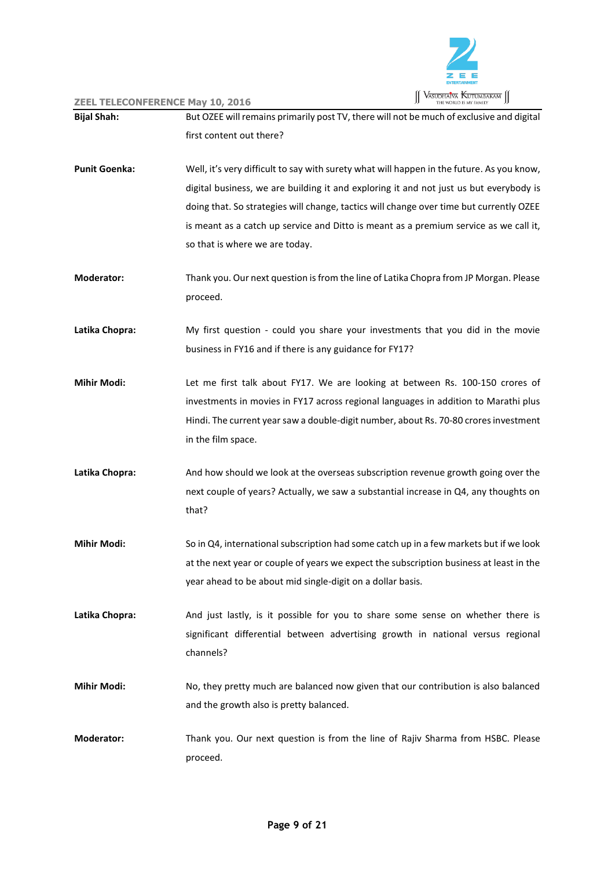

| <b>Bijal Shah:</b>   | But OZEE will remains primarily post TV, there will not be much of exclusive and digital  |
|----------------------|-------------------------------------------------------------------------------------------|
|                      | first content out there?                                                                  |
| <b>Punit Goenka:</b> | Well, it's very difficult to say with surety what will happen in the future. As you know, |
|                      | digital business, we are building it and exploring it and not just us but everybody is    |
|                      | doing that. So strategies will change, tactics will change over time but currently OZEE   |
|                      | is meant as a catch up service and Ditto is meant as a premium service as we call it,     |
|                      | so that is where we are today.                                                            |
| <b>Moderator:</b>    | Thank you. Our next question is from the line of Latika Chopra from JP Morgan. Please     |
|                      | proceed.                                                                                  |
| Latika Chopra:       | My first question - could you share your investments that you did in the movie            |
|                      | business in FY16 and if there is any guidance for FY17?                                   |
| <b>Mihir Modi:</b>   | Let me first talk about FY17. We are looking at between Rs. 100-150 crores of             |
|                      | investments in movies in FY17 across regional languages in addition to Marathi plus       |
|                      | Hindi. The current year saw a double-digit number, about Rs. 70-80 crores investment      |
|                      | in the film space.                                                                        |
| Latika Chopra:       | And how should we look at the overseas subscription revenue growth going over the         |
|                      | next couple of years? Actually, we saw a substantial increase in Q4, any thoughts on      |
|                      | that?                                                                                     |
| <b>Mihir Modi:</b>   | So in Q4, international subscription had some catch up in a few markets but if we look    |
|                      | at the next year or couple of years we expect the subscription business at least in the   |
|                      | year ahead to be about mid single-digit on a dollar basis.                                |
| Latika Chopra:       | And just lastly, is it possible for you to share some sense on whether there is           |
|                      | significant differential between advertising growth in national versus regional           |
|                      | channels?                                                                                 |
| <b>Mihir Modi:</b>   | No, they pretty much are balanced now given that our contribution is also balanced        |
|                      | and the growth also is pretty balanced.                                                   |
| <b>Moderator:</b>    | Thank you. Our next question is from the line of Rajiv Sharma from HSBC. Please           |
|                      | proceed.                                                                                  |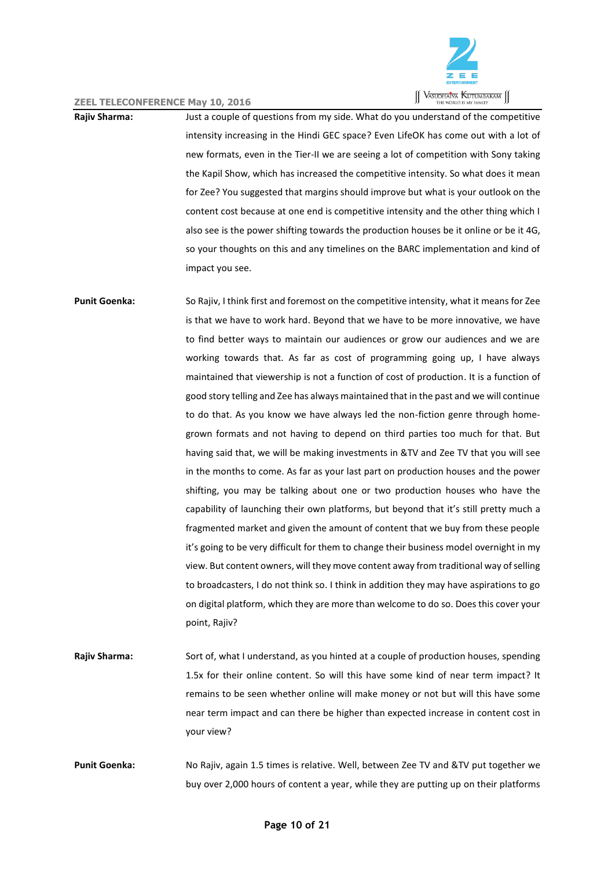

**Rajiv Sharma:** Just a couple of questions from my side. What do you understand of the competitive intensity increasing in the Hindi GEC space? Even LifeOK has come out with a lot of new formats, even in the Tier-II we are seeing a lot of competition with Sony taking the Kapil Show, which has increased the competitive intensity. So what does it mean for Zee? You suggested that margins should improve but what is your outlook on the content cost because at one end is competitive intensity and the other thing which I also see is the power shifting towards the production houses be it online or be it 4G, so your thoughts on this and any timelines on the BARC implementation and kind of impact you see.

**Punit Goenka:** So Rajiv, I think first and foremost on the competitive intensity, what it means for Zee is that we have to work hard. Beyond that we have to be more innovative, we have to find better ways to maintain our audiences or grow our audiences and we are working towards that. As far as cost of programming going up, I have always maintained that viewership is not a function of cost of production. It is a function of good story telling and Zee has always maintained that in the past and we will continue to do that. As you know we have always led the non-fiction genre through homegrown formats and not having to depend on third parties too much for that. But having said that, we will be making investments in &TV and Zee TV that you will see in the months to come. As far as your last part on production houses and the power shifting, you may be talking about one or two production houses who have the capability of launching their own platforms, but beyond that it's still pretty much a fragmented market and given the amount of content that we buy from these people it's going to be very difficult for them to change their business model overnight in my view. But content owners, will they move content away from traditional way of selling to broadcasters, I do not think so. I think in addition they may have aspirations to go on digital platform, which they are more than welcome to do so. Does this cover your point, Rajiv?

**Rajiv Sharma:** Sort of, what I understand, as you hinted at a couple of production houses, spending 1.5x for their online content. So will this have some kind of near term impact? It remains to be seen whether online will make money or not but will this have some near term impact and can there be higher than expected increase in content cost in your view?

**Punit Goenka:** No Rajiv, again 1.5 times is relative. Well, between Zee TV and &TV put together we buy over 2,000 hours of content a year, while they are putting up on their platforms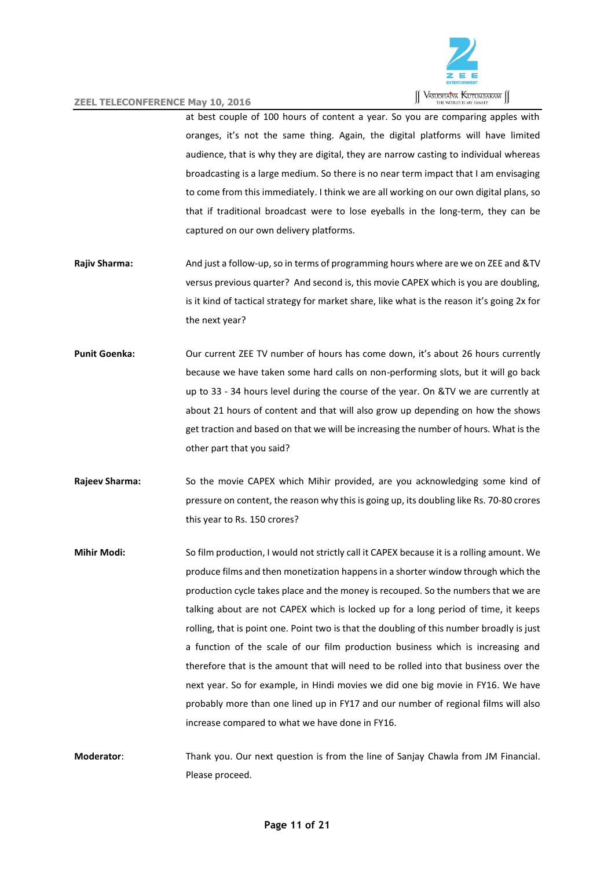

at best couple of 100 hours of content a year. So you are comparing apples with oranges, it's not the same thing. Again, the digital platforms will have limited audience, that is why they are digital, they are narrow casting to individual whereas broadcasting is a large medium. So there is no near term impact that I am envisaging to come from this immediately. I think we are all working on our own digital plans, so that if traditional broadcast were to lose eyeballs in the long-term, they can be captured on our own delivery platforms.

- **Rajiv Sharma:** And just a follow-up, so in terms of programming hours where are we on ZEE and &TV versus previous quarter? And second is, this movie CAPEX which is you are doubling, is it kind of tactical strategy for market share, like what is the reason it's going 2x for the next year?
- **Punit Goenka:** Our current ZEE TV number of hours has come down, it's about 26 hours currently because we have taken some hard calls on non-performing slots, but it will go back up to 33 - 34 hours level during the course of the year. On &TV we are currently at about 21 hours of content and that will also grow up depending on how the shows get traction and based on that we will be increasing the number of hours. What is the other part that you said?
- **Rajeev Sharma:** So the movie CAPEX which Mihir provided, are you acknowledging some kind of pressure on content, the reason why this is going up, its doubling like Rs. 70-80 crores this year to Rs. 150 crores?
- **Mihir Modi:** So film production, I would not strictly call it CAPEX because it is a rolling amount. We produce films and then monetization happens in a shorter window through which the production cycle takes place and the money is recouped. So the numbers that we are talking about are not CAPEX which is locked up for a long period of time, it keeps rolling, that is point one. Point two is that the doubling of this number broadly is just a function of the scale of our film production business which is increasing and therefore that is the amount that will need to be rolled into that business over the next year. So for example, in Hindi movies we did one big movie in FY16. We have probably more than one lined up in FY17 and our number of regional films will also increase compared to what we have done in FY16.
- **Moderator**: Thank you. Our next question is from the line of Sanjay Chawla from JM Financial. Please proceed.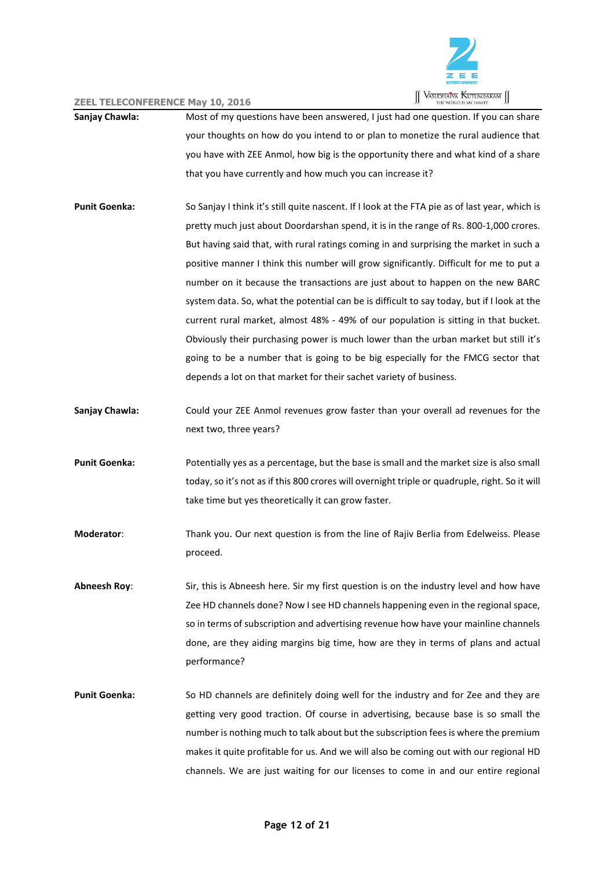

- **Sanjay Chawla:** Most of my questions have been answered, I just had one question. If you can share your thoughts on how do you intend to or plan to monetize the rural audience that you have with ZEE Anmol, how big is the opportunity there and what kind of a share that you have currently and how much you can increase it?
- **Punit Goenka:** So Sanjay I think it's still quite nascent. If I look at the FTA pie as of last year, which is pretty much just about Doordarshan spend, it is in the range of Rs. 800-1,000 crores. But having said that, with rural ratings coming in and surprising the market in such a positive manner I think this number will grow significantly. Difficult for me to put a number on it because the transactions are just about to happen on the new BARC system data. So, what the potential can be is difficult to say today, but if I look at the current rural market, almost 48% - 49% of our population is sitting in that bucket. Obviously their purchasing power is much lower than the urban market but still it's going to be a number that is going to be big especially for the FMCG sector that depends a lot on that market for their sachet variety of business.
- **Sanjay Chawla:** Could your ZEE Anmol revenues grow faster than your overall ad revenues for the next two, three years?
- **Punit Goenka:** Potentially yes as a percentage, but the base is small and the market size is also small today, so it's not as if this 800 crores will overnight triple or quadruple, right. So it will take time but yes theoretically it can grow faster.
- **Moderator**: Thank you. Our next question is from the line of Rajiv Berlia from Edelweiss. Please proceed.
- **Abneesh Roy**: Sir, this is Abneesh here. Sir my first question is on the industry level and how have Zee HD channels done? Now I see HD channels happening even in the regional space, so in terms of subscription and advertising revenue how have your mainline channels done, are they aiding margins big time, how are they in terms of plans and actual performance?
- **Punit Goenka:** So HD channels are definitely doing well for the industry and for Zee and they are getting very good traction. Of course in advertising, because base is so small the number is nothing much to talk about but the subscription fees is where the premium makes it quite profitable for us. And we will also be coming out with our regional HD channels. We are just waiting for our licenses to come in and our entire regional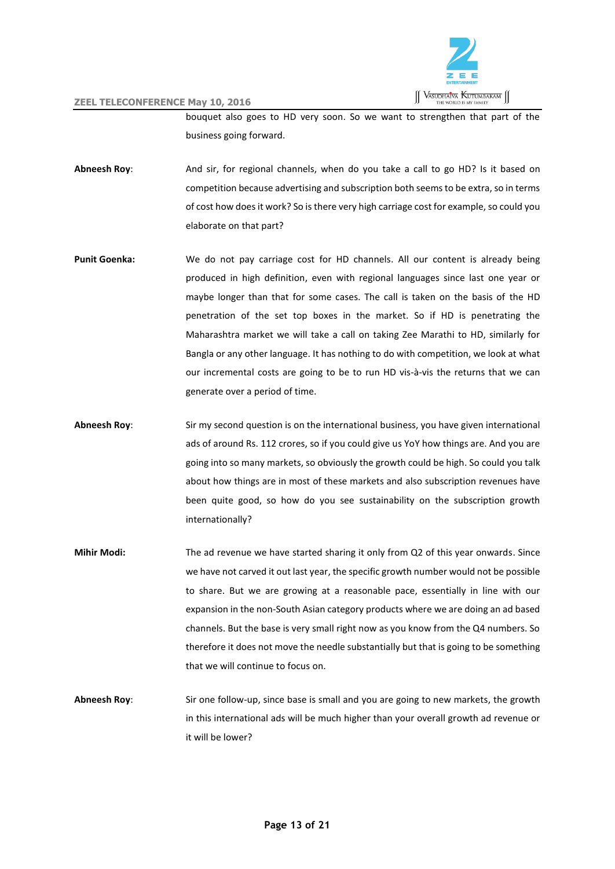

bouquet also goes to HD very soon. So we want to strengthen that part of the business going forward.

- **Abneesh Roy**: And sir, for regional channels, when do you take a call to go HD? Is it based on competition because advertising and subscription both seems to be extra, so in terms of cost how does it work? So is there very high carriage cost for example, so could you elaborate on that part?
- **Punit Goenka:** We do not pay carriage cost for HD channels. All our content is already being produced in high definition, even with regional languages since last one year or maybe longer than that for some cases. The call is taken on the basis of the HD penetration of the set top boxes in the market. So if HD is penetrating the Maharashtra market we will take a call on taking Zee Marathi to HD, similarly for Bangla or any other language. It has nothing to do with competition, we look at what our incremental costs are going to be to run HD vis-à-vis the returns that we can generate over a period of time.
- **Abneesh Roy**: Sir my second question is on the international business, you have given international ads of around Rs. 112 crores, so if you could give us YoY how things are. And you are going into so many markets, so obviously the growth could be high. So could you talk about how things are in most of these markets and also subscription revenues have been quite good, so how do you see sustainability on the subscription growth internationally?
- **Mihir Modi:** The ad revenue we have started sharing it only from Q2 of this year onwards. Since we have not carved it out last year, the specific growth number would not be possible to share. But we are growing at a reasonable pace, essentially in line with our expansion in the non-South Asian category products where we are doing an ad based channels. But the base is very small right now as you know from the Q4 numbers. So therefore it does not move the needle substantially but that is going to be something that we will continue to focus on.
- **Abneesh Roy**: Sir one follow-up, since base is small and you are going to new markets, the growth in this international ads will be much higher than your overall growth ad revenue or it will be lower?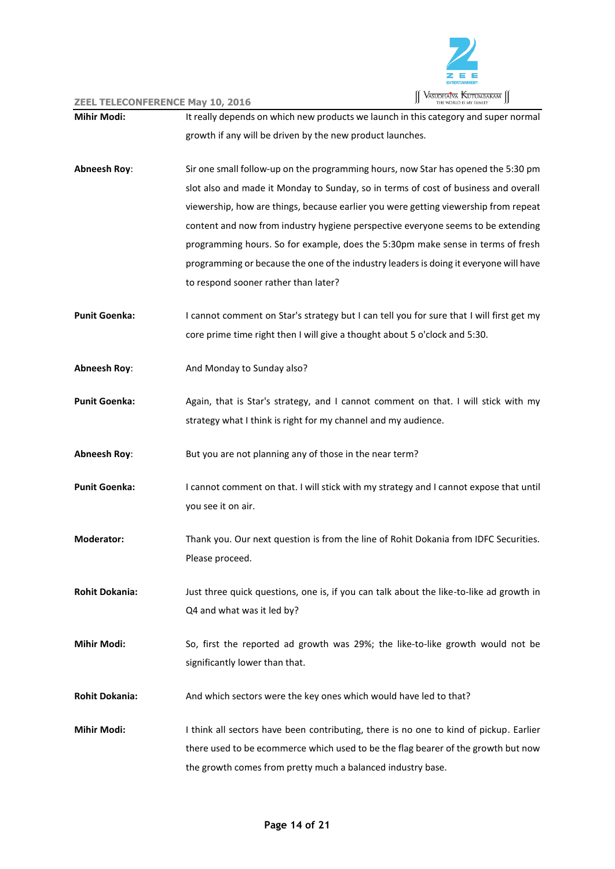

| <b>Mihir Modi:</b>    | It really depends on which new products we launch in this category and super normal      |
|-----------------------|------------------------------------------------------------------------------------------|
|                       | growth if any will be driven by the new product launches.                                |
| <b>Abneesh Roy:</b>   | Sir one small follow-up on the programming hours, now Star has opened the 5:30 pm        |
|                       | slot also and made it Monday to Sunday, so in terms of cost of business and overall      |
|                       | viewership, how are things, because earlier you were getting viewership from repeat      |
|                       | content and now from industry hygiene perspective everyone seems to be extending         |
|                       | programming hours. So for example, does the 5:30pm make sense in terms of fresh          |
|                       | programming or because the one of the industry leaders is doing it everyone will have    |
|                       | to respond sooner rather than later?                                                     |
| <b>Punit Goenka:</b>  | I cannot comment on Star's strategy but I can tell you for sure that I will first get my |
|                       | core prime time right then I will give a thought about 5 o'clock and 5:30.               |
| <b>Abneesh Roy:</b>   | And Monday to Sunday also?                                                               |
| <b>Punit Goenka:</b>  | Again, that is Star's strategy, and I cannot comment on that. I will stick with my       |
|                       | strategy what I think is right for my channel and my audience.                           |
| <b>Abneesh Roy:</b>   | But you are not planning any of those in the near term?                                  |
| <b>Punit Goenka:</b>  | I cannot comment on that. I will stick with my strategy and I cannot expose that until   |
|                       | you see it on air.                                                                       |
| <b>Moderator:</b>     | Thank you. Our next question is from the line of Rohit Dokania from IDFC Securities.     |
|                       | Please proceed.                                                                          |
| <b>Rohit Dokania:</b> | Just three quick questions, one is, if you can talk about the like-to-like ad growth in  |
|                       | Q4 and what was it led by?                                                               |
| <b>Mihir Modi:</b>    | So, first the reported ad growth was 29%; the like-to-like growth would not be           |
|                       | significantly lower than that.                                                           |
| <b>Rohit Dokania:</b> | And which sectors were the key ones which would have led to that?                        |
| <b>Mihir Modi:</b>    | I think all sectors have been contributing, there is no one to kind of pickup. Earlier   |
|                       | there used to be ecommerce which used to be the flag bearer of the growth but now        |
|                       | the growth comes from pretty much a balanced industry base.                              |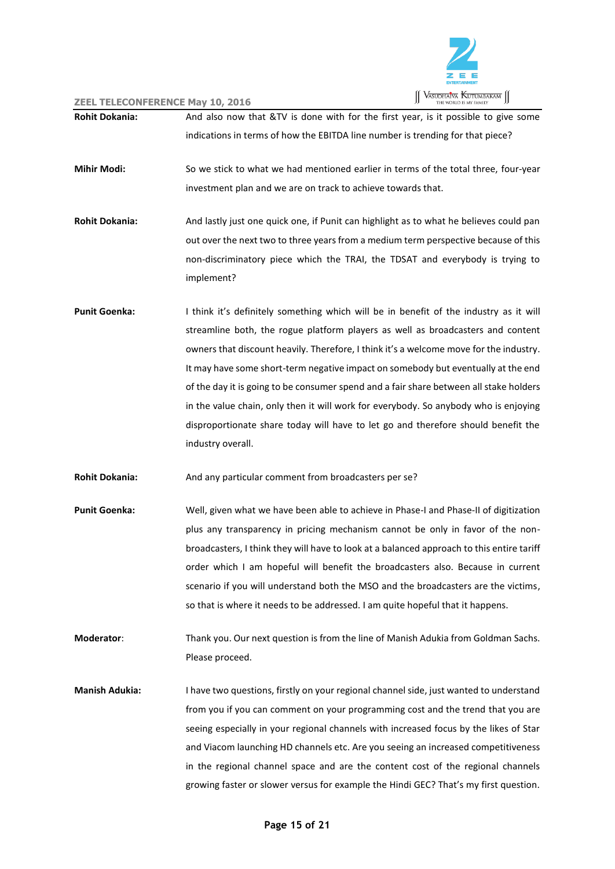

**Rohit Dokania:** And also now that &TV is done with for the first year, is it possible to give some indications in terms of how the EBITDA line number is trending for that piece? **Mihir Modi:** So we stick to what we had mentioned earlier in terms of the total three, four-year investment plan and we are on track to achieve towards that. **Rohit Dokania:** And lastly just one quick one, if Punit can highlight as to what he believes could pan out over the next two to three years from a medium term perspective because of this non-discriminatory piece which the TRAI, the TDSAT and everybody is trying to implement? **Punit Goenka:** I think it's definitely something which will be in benefit of the industry as it will streamline both, the rogue platform players as well as broadcasters and content owners that discount heavily. Therefore, I think it's a welcome move for the industry. It may have some short-term negative impact on somebody but eventually at the end of the day it is going to be consumer spend and a fair share between all stake holders in the value chain, only then it will work for everybody. So anybody who is enjoying disproportionate share today will have to let go and therefore should benefit the industry overall. **Rohit Dokania:** And any particular comment from broadcasters per se? Punit Goenka: Well, given what we have been able to achieve in Phase-I and Phase-II of digitization plus any transparency in pricing mechanism cannot be only in favor of the nonbroadcasters, I think they will have to look at a balanced approach to this entire tariff order which I am hopeful will benefit the broadcasters also. Because in current scenario if you will understand both the MSO and the broadcasters are the victims, so that is where it needs to be addressed. I am quite hopeful that it happens. **Moderator**: Thank you. Our next question is from the line of Manish Adukia from Goldman Sachs. Please proceed. **Manish Adukia:** I have two questions, firstly on your regional channel side, just wanted to understand from you if you can comment on your programming cost and the trend that you are seeing especially in your regional channels with increased focus by the likes of Star and Viacom launching HD channels etc. Are you seeing an increased competitiveness in the regional channel space and are the content cost of the regional channels growing faster or slower versus for example the Hindi GEC? That's my first question.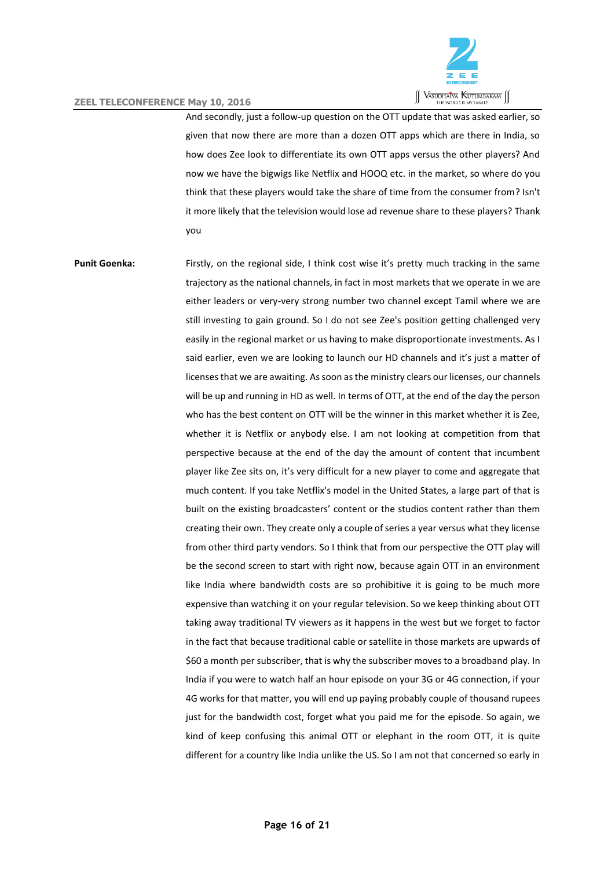

And secondly, just a follow-up question on the OTT update that was asked earlier, so given that now there are more than a dozen OTT apps which are there in India, so how does Zee look to differentiate its own OTT apps versus the other players? And now we have the bigwigs like Netflix and HOOQ etc. in the market, so where do you think that these players would take the share of time from the consumer from? Isn't it more likely that the television would lose ad revenue share to these players? Thank you

**Punit Goenka:** Firstly, on the regional side, I think cost wise it's pretty much tracking in the same trajectory as the national channels, in fact in most markets that we operate in we are either leaders or very-very strong number two channel except Tamil where we are still investing to gain ground. So I do not see Zee's position getting challenged very easily in the regional market or us having to make disproportionate investments. As I said earlier, even we are looking to launch our HD channels and it's just a matter of licenses that we are awaiting. As soon as the ministry clears our licenses, our channels will be up and running in HD as well. In terms of OTT, at the end of the day the person who has the best content on OTT will be the winner in this market whether it is Zee, whether it is Netflix or anybody else. I am not looking at competition from that perspective because at the end of the day the amount of content that incumbent player like Zee sits on, it's very difficult for a new player to come and aggregate that much content. If you take Netflix's model in the United States, a large part of that is built on the existing broadcasters' content or the studios content rather than them creating their own. They create only a couple of series a year versus what they license from other third party vendors. So I think that from our perspective the OTT play will be the second screen to start with right now, because again OTT in an environment like India where bandwidth costs are so prohibitive it is going to be much more expensive than watching it on your regular television. So we keep thinking about OTT taking away traditional TV viewers as it happens in the west but we forget to factor in the fact that because traditional cable or satellite in those markets are upwards of \$60 a month per subscriber, that is why the subscriber moves to a broadband play. In India if you were to watch half an hour episode on your 3G or 4G connection, if your 4G works for that matter, you will end up paying probably couple of thousand rupees just for the bandwidth cost, forget what you paid me for the episode. So again, we kind of keep confusing this animal OTT or elephant in the room OTT, it is quite different for a country like India unlike the US. So I am not that concerned so early in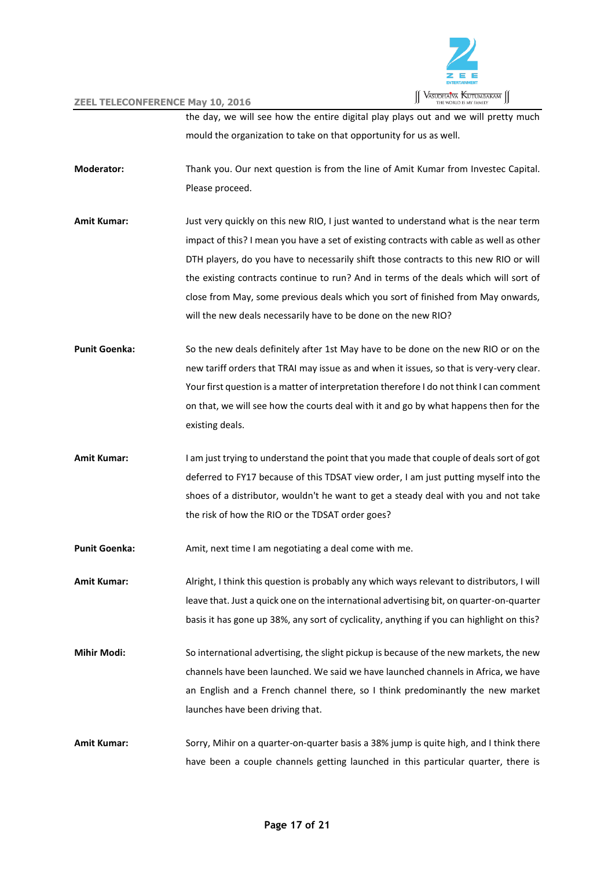

the day, we will see how the entire digital play plays out and we will pretty much mould the organization to take on that opportunity for us as well.

- **Moderator:** Thank you. Our next question is from the line of Amit Kumar from Investec Capital. Please proceed.
- **Amit Kumar:** Just very quickly on this new RIO, I just wanted to understand what is the near term impact of this? I mean you have a set of existing contracts with cable as well as other DTH players, do you have to necessarily shift those contracts to this new RIO or will the existing contracts continue to run? And in terms of the deals which will sort of close from May, some previous deals which you sort of finished from May onwards, will the new deals necessarily have to be done on the new RIO?
- **Punit Goenka:** So the new deals definitely after 1st May have to be done on the new RIO or on the new tariff orders that TRAI may issue as and when it issues, so that is very-very clear. Your first question is a matter of interpretation therefore I do not think I can comment on that, we will see how the courts deal with it and go by what happens then for the existing deals.
- **Amit Kumar:** I am just trying to understand the point that you made that couple of deals sort of got deferred to FY17 because of this TDSAT view order, I am just putting myself into the shoes of a distributor, wouldn't he want to get a steady deal with you and not take the risk of how the RIO or the TDSAT order goes?

Punit Goenka: Amit, next time I am negotiating a deal come with me.

**Amit Kumar:** Alright, I think this question is probably any which ways relevant to distributors, I will leave that. Just a quick one on the international advertising bit, on quarter-on-quarter basis it has gone up 38%, any sort of cyclicality, anything if you can highlight on this?

- **Mihir Modi:** So international advertising, the slight pickup is because of the new markets, the new channels have been launched. We said we have launched channels in Africa, we have an English and a French channel there, so I think predominantly the new market launches have been driving that.
- **Amit Kumar:** Sorry, Mihir on a quarter-on-quarter basis a 38% jump is quite high, and I think there have been a couple channels getting launched in this particular quarter, there is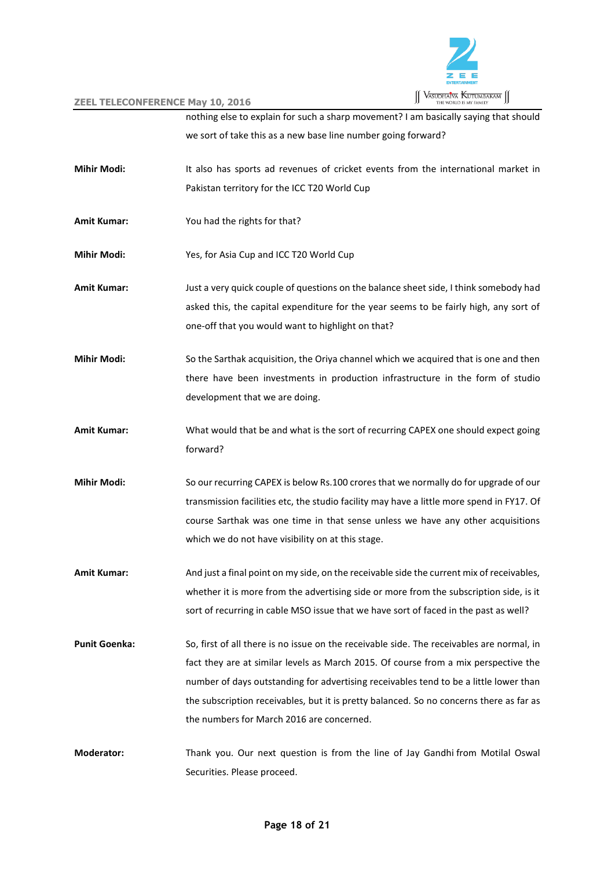

|                      | EEL TELECONFERENCE MAY 10, 2010                                                           |
|----------------------|-------------------------------------------------------------------------------------------|
|                      | nothing else to explain for such a sharp movement? I am basically saying that should      |
|                      | we sort of take this as a new base line number going forward?                             |
| <b>Mihir Modi:</b>   | It also has sports ad revenues of cricket events from the international market in         |
|                      | Pakistan territory for the ICC T20 World Cup                                              |
| <b>Amit Kumar:</b>   | You had the rights for that?                                                              |
| <b>Mihir Modi:</b>   | Yes, for Asia Cup and ICC T20 World Cup                                                   |
| <b>Amit Kumar:</b>   | Just a very quick couple of questions on the balance sheet side, I think somebody had     |
|                      | asked this, the capital expenditure for the year seems to be fairly high, any sort of     |
|                      | one-off that you would want to highlight on that?                                         |
| <b>Mihir Modi:</b>   | So the Sarthak acquisition, the Oriya channel which we acquired that is one and then      |
|                      | there have been investments in production infrastructure in the form of studio            |
|                      | development that we are doing.                                                            |
| <b>Amit Kumar:</b>   | What would that be and what is the sort of recurring CAPEX one should expect going        |
|                      | forward?                                                                                  |
| <b>Mihir Modi:</b>   | So our recurring CAPEX is below Rs.100 crores that we normally do for upgrade of our      |
|                      | transmission facilities etc, the studio facility may have a little more spend in FY17. Of |
|                      | course Sarthak was one time in that sense unless we have any other acquisitions           |
|                      | which we do not have visibility on at this stage.                                         |
| <b>Amit Kumar:</b>   | And just a final point on my side, on the receivable side the current mix of receivables, |
|                      | whether it is more from the advertising side or more from the subscription side, is it    |
|                      | sort of recurring in cable MSO issue that we have sort of faced in the past as well?      |
| <b>Punit Goenka:</b> | So, first of all there is no issue on the receivable side. The receivables are normal, in |
|                      | fact they are at similar levels as March 2015. Of course from a mix perspective the       |
|                      | number of days outstanding for advertising receivables tend to be a little lower than     |
|                      | the subscription receivables, but it is pretty balanced. So no concerns there as far as   |
|                      | the numbers for March 2016 are concerned.                                                 |
| <b>Moderator:</b>    | Thank you. Our next question is from the line of Jay Gandhi from Motilal Oswal            |
|                      | Securities. Please proceed.                                                               |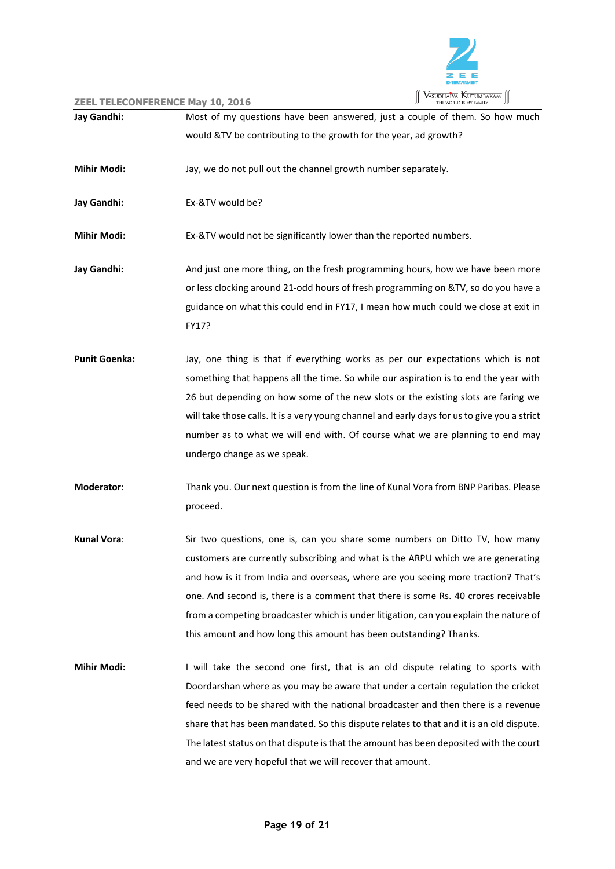

| Jay Gandhi:          | $\sim$ itelevative exerce they for $\sim$<br>Most of my questions have been answered, just a couple of them. So how much |
|----------------------|--------------------------------------------------------------------------------------------------------------------------|
|                      | would &TV be contributing to the growth for the year, ad growth?                                                         |
|                      |                                                                                                                          |
| <b>Mihir Modi:</b>   | Jay, we do not pull out the channel growth number separately.                                                            |
| Jay Gandhi:          | Ex-&TV would be?                                                                                                         |
| <b>Mihir Modi:</b>   | Ex-&TV would not be significantly lower than the reported numbers.                                                       |
| Jay Gandhi:          | And just one more thing, on the fresh programming hours, how we have been more                                           |
|                      | or less clocking around 21-odd hours of fresh programming on &TV, so do you have a                                       |
|                      | guidance on what this could end in FY17, I mean how much could we close at exit in<br>FY17?                              |
| <b>Punit Goenka:</b> | Jay, one thing is that if everything works as per our expectations which is not                                          |
|                      | something that happens all the time. So while our aspiration is to end the year with                                     |
|                      | 26 but depending on how some of the new slots or the existing slots are faring we                                        |
|                      | will take those calls. It is a very young channel and early days for us to give you a strict                             |
|                      | number as to what we will end with. Of course what we are planning to end may                                            |
|                      | undergo change as we speak.                                                                                              |
| Moderator:           | Thank you. Our next question is from the line of Kunal Vora from BNP Paribas. Please                                     |
|                      | proceed.                                                                                                                 |
| Kunal Vora:          | Sir two questions, one is, can you share some numbers on Ditto TV, how many                                              |
|                      | customers are currently subscribing and what is the ARPU which we are generating                                         |
|                      | and how is it from India and overseas, where are you seeing more traction? That's                                        |
|                      | one. And second is, there is a comment that there is some Rs. 40 crores receivable                                       |
|                      | from a competing broadcaster which is under litigation, can you explain the nature of                                    |
|                      | this amount and how long this amount has been outstanding? Thanks.                                                       |
| <b>Mihir Modi:</b>   | I will take the second one first, that is an old dispute relating to sports with                                         |
|                      | Doordarshan where as you may be aware that under a certain regulation the cricket                                        |
|                      | feed needs to be shared with the national broadcaster and then there is a revenue                                        |
|                      | share that has been mandated. So this dispute relates to that and it is an old dispute.                                  |
|                      | The latest status on that dispute is that the amount has been deposited with the court                                   |
|                      | and we are very hopeful that we will recover that amount.                                                                |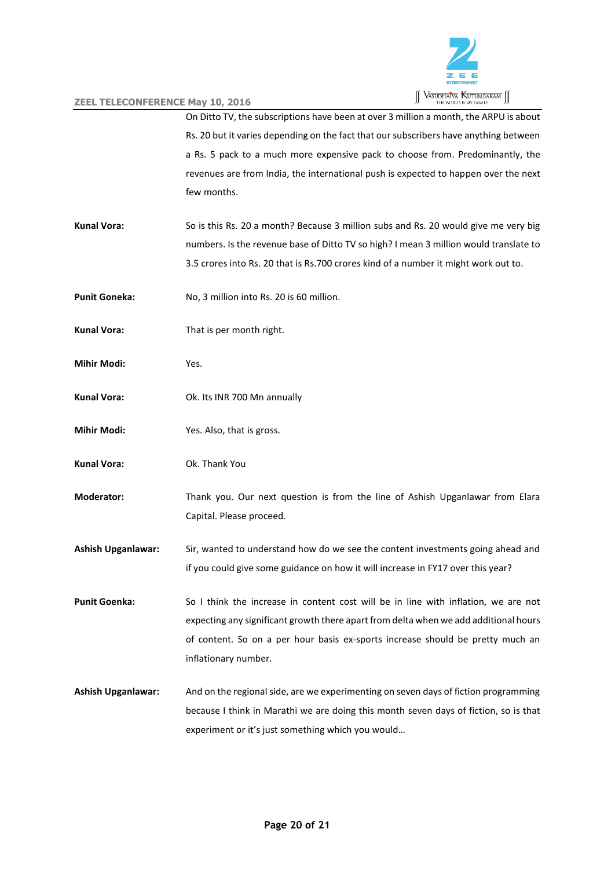

On Ditto TV, the subscriptions have been at over 3 million a month, the ARPU is about Rs. 20 but it varies depending on the fact that our subscribers have anything between a Rs. 5 pack to a much more expensive pack to choose from. Predominantly, the revenues are from India, the international push is expected to happen over the next few months.

- **Kunal Vora:** So is this Rs. 20 a month? Because 3 million subs and Rs. 20 would give me very big numbers. Is the revenue base of Ditto TV so high? I mean 3 million would translate to 3.5 crores into Rs. 20 that is Rs.700 crores kind of a number it might work out to.
- **Punit Goneka:** No, 3 million into Rs. 20 is 60 million.
- **Kunal Vora:** That is per month right.
- **Mihir Modi:** Yes.
- **Kunal Vora:** Ok. Its INR 700 Mn annually
- **Mihir Modi:** Yes. Also, that is gross.
- **Kunal Vora:** Ok. Thank You

**Moderator:** Thank you. Our next question is from the line of Ashish Upganlawar from Elara Capital. Please proceed.

**Ashish Upganlawar:** Sir, wanted to understand how do we see the content investments going ahead and if you could give some guidance on how it will increase in FY17 over this year?

**Punit Goenka:** So I think the increase in content cost will be in line with inflation, we are not expecting any significant growth there apart from delta when we add additional hours of content. So on a per hour basis ex-sports increase should be pretty much an inflationary number.

**Ashish Upganlawar:** And on the regional side, are we experimenting on seven days of fiction programming because I think in Marathi we are doing this month seven days of fiction, so is that experiment or it's just something which you would…